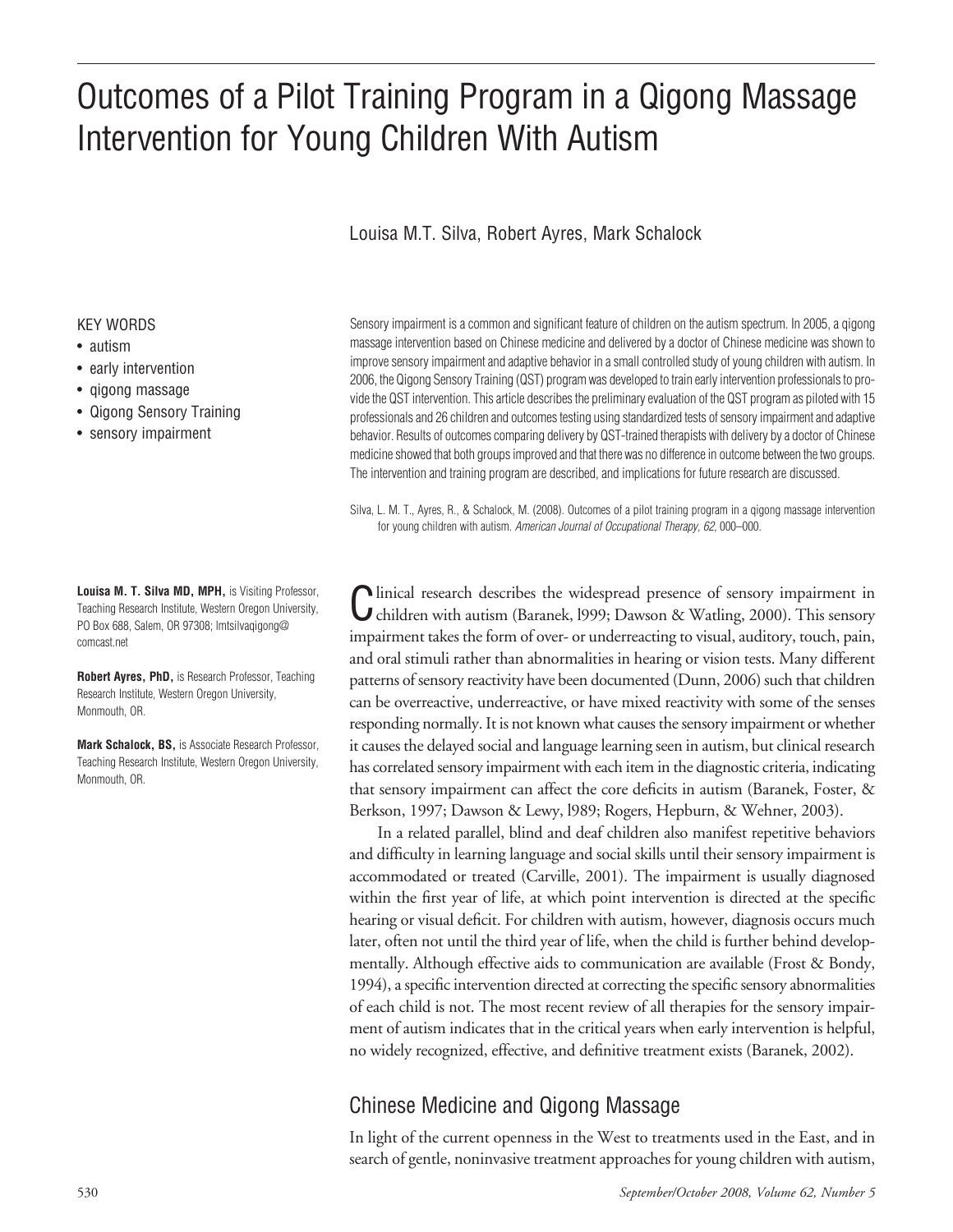# Outcomes of a Pilot Training Program in a Qigong Massage Intervention for Young Children With Autism

## Louisa M.T. Silva, Robert Ayres, Mark Schalock

#### KEY WORDS

- autism
- early intervention
- qigong massage
- Qigong Sensory Training
- sensory impairment

**Louisa M. T. Silva MD, MPH,** is Visiting Professor, Teaching Research Institute, Western Oregon University, PO Box 688, Salem, OR 97308; lmtsilvaqigong@ comcast.net

**Robert Ayres, PhD,** is Research Professor, Teaching Research Institute, Western Oregon University, Monmouth, OR.

**Mark Schalock, BS,** is Associate Research Professor, Teaching Research Institute, Western Oregon University, Monmouth, OR.

Sensory impairment is a common and significant feature of children on the autism spectrum. In 2005, a qigong massage intervention based on Chinese medicine and delivered by a doctor of Chinese medicine was shown to improve sensory impairment and adaptive behavior in a small controlled study of young children with autism. In 2006, the Qigong Sensory Training (QST) programwas developed to train earlyintervention professionalsto provide the QST intervention. This article describes the preliminary evaluation of the QST program as piloted with 15 professionals and 26 children and outcomes testing using standardized tests of sensory impairment and adaptive behavior. Results of outcomes comparing delivery by QST-trained therapists with delivery by a doctor of Chinese medicine showed that both groups improved and that there was no difference in outcome between the two groups. The intervention and training program are described, and implications for future research are discussed.

Silva, L. M. T., Ayres, R., & Schalock, M. (2008). Outcomes of a pilot training program in a qigong massage intervention for young children with autism. American Journal of Occupational Therapy, 62, 000–000.

Clinical research describes the widespread presence of sensory impairment in children with autism (Baranek, l999; Dawson & Watling, 2000). This sensory impairment takes the form of over- or underreacting to visual, auditory, touch, pain, and oral stimuli rather than abnormalities in hearing or vision tests. Many different patterns of sensory reactivity have been documented (Dunn, 2006) such that children can be overreactive, underreactive, or have mixed reactivity with some of the senses responding normally. It is not known what causes the sensory impairment or whether it causes the delayed social and language learning seen in autism, but clinical research has correlated sensory impairment with each item in the diagnostic criteria, indicating that sensory impairment can affect the core deficits in autism (Baranek, Foster, & Berkson, 1997; Dawson & Lewy, l989; Rogers, Hepburn, & Wehner, 2003).

In a related parallel, blind and deaf children also manifest repetitive behaviors and difficulty in learning language and social skills until their sensory impairment is accommodated or treated (Carville, 2001). The impairment is usually diagnosed within the first year of life, at which point intervention is directed at the specific hearing or visual deficit. For children with autism, however, diagnosis occurs much later, often not until the third year of life, when the child is further behind developmentally. Although effective aids to communication are available (Frost & Bondy, 1994), a specific intervention directed at correcting the specific sensory abnormalities of each child is not. The most recent review of all therapies for the sensory impairment of autism indicates that in the critical years when early intervention is helpful, no widely recognized, effective, and definitive treatment exists (Baranek, 2002).

# Chinese Medicine and Qigong Massage

In light of the current openness in the West to treatments used in the East, and in search of gentle, noninvasive treatment approaches for young children with autism,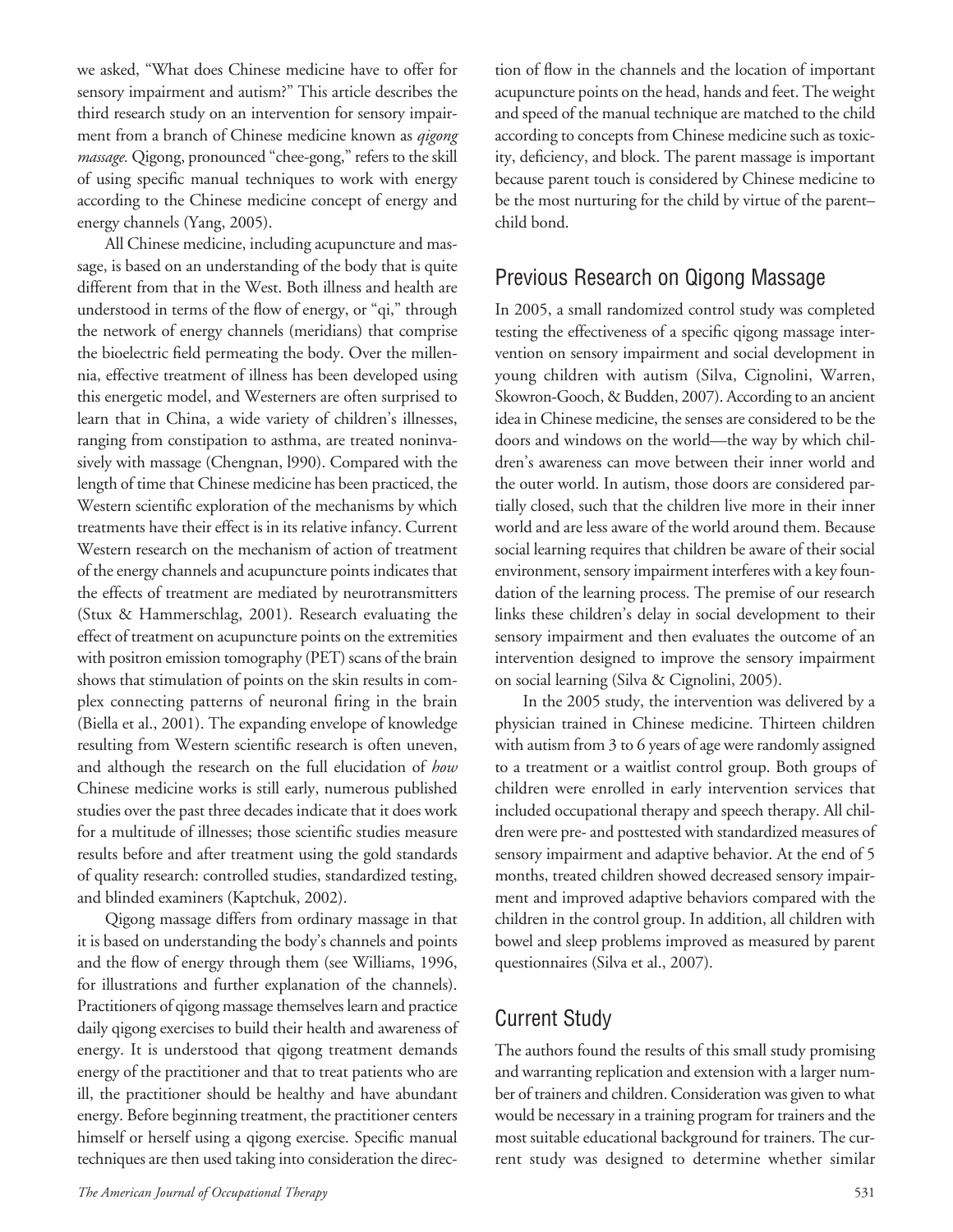we asked, "What does Chinese medicine have to offer for sensory impairment and autism?" This article describes the third research study on an intervention for sensory impairment from a branch of Chinese medicine known as *qigong massage*. Qigong, pronounced "chee-gong," refers to the skill of using specific manual techniques to work with energy according to the Chinese medicine concept of energy and energy channels (Yang, 2005).

All Chinese medicine, including acupuncture and massage, is based on an understanding of the body that is quite different from that in the West. Both illness and health are understood in terms of the flow of energy, or "qi," through the network of energy channels (meridians) that comprise the bioelectric field permeating the body. Over the millennia, effective treatment of illness has been developed using this energetic model, and Westerners are often surprised to learn that in China, a wide variety of children's illnesses, ranging from constipation to asthma, are treated noninvasively with massage (Chengnan, l990). Compared with the length of time that Chinese medicine has been practiced, the Western scientific exploration of the mechanisms by which treatments have their effect is in its relative infancy. Current Western research on the mechanism of action of treatment of the energy channels and acupuncture points indicates that the effects of treatment are mediated by neurotransmitters (Stux & Hammerschlag, 2001). Research evaluating the effect of treatment on acupuncture points on the extremities with positron emission tomography (PET) scans of the brain shows that stimulation of points on the skin results in complex connecting patterns of neuronal firing in the brain (Biella et al., 2001). The expanding envelope of knowledge resulting from Western scientific research is often uneven, and although the research on the full elucidation of *how* Chinese medicine works is still early, numerous published studies over the past three decades indicate that it does work for a multitude of illnesses; those scientific studies measure results before and after treatment using the gold standards of quality research: controlled studies, standardized testing, and blinded examiners (Kaptchuk, 2002).

Qigong massage differs from ordinary massage in that it is based on understanding the body's channels and points and the flow of energy through them (see Williams, 1996, for illustrations and further explanation of the channels). Practitioners of qigong massage themselves learn and practice daily qigong exercises to build their health and awareness of energy. It is understood that qigong treatment demands energy of the practitioner and that to treat patients who are ill, the practitioner should be healthy and have abundant energy. Before beginning treatment, the practitioner centers himself or herself using a qigong exercise. Specific manual techniques are then used taking into consideration the direction of flow in the channels and the location of important acupuncture points on the head, hands and feet. The weight and speed of the manual technique are matched to the child according to concepts from Chinese medicine such as toxicity, deficiency, and block. The parent massage is important because parent touch is considered by Chinese medicine to be the most nurturing for the child by virtue of the parent– child bond.

## Previous Research on Qigong Massage

In 2005, a small randomized control study was completed testing the effectiveness of a specific qigong massage intervention on sensory impairment and social development in young children with autism (Silva, Cignolini, Warren, Skowron-Gooch, & Budden, 2007). According to an ancient idea in Chinese medicine, the senses are considered to be the doors and windows on the world—the way by which children's awareness can move between their inner world and the outer world. In autism, those doors are considered partially closed, such that the children live more in their inner world and are less aware of the world around them. Because social learning requires that children be aware of their social environment, sensory impairment interferes with a key foundation of the learning process. The premise of our research links these children's delay in social development to their sensory impairment and then evaluates the outcome of an intervention designed to improve the sensory impairment on social learning (Silva & Cignolini, 2005).

In the 2005 study, the intervention was delivered by a physician trained in Chinese medicine. Thirteen children with autism from  $3$  to 6 years of age were randomly assigned to a treatment or a waitlist control group. Both groups of children were enrolled in early intervention services that included occupational therapy and speech therapy. All children were pre- and posttested with standardized measures of sensory impairment and adaptive behavior. At the end of 5 months, treated children showed decreased sensory impairment and improved adaptive behaviors compared with the children in the control group. In addition, all children with bowel and sleep problems improved as measured by parent questionnaires (Silva et al., 2007).

## Current Study

The authors found the results of this small study promising and warranting replication and extension with a larger number of trainers and children. Consideration was given to what would be necessary in a training program for trainers and the most suitable educational background for trainers. The current study was designed to determine whether similar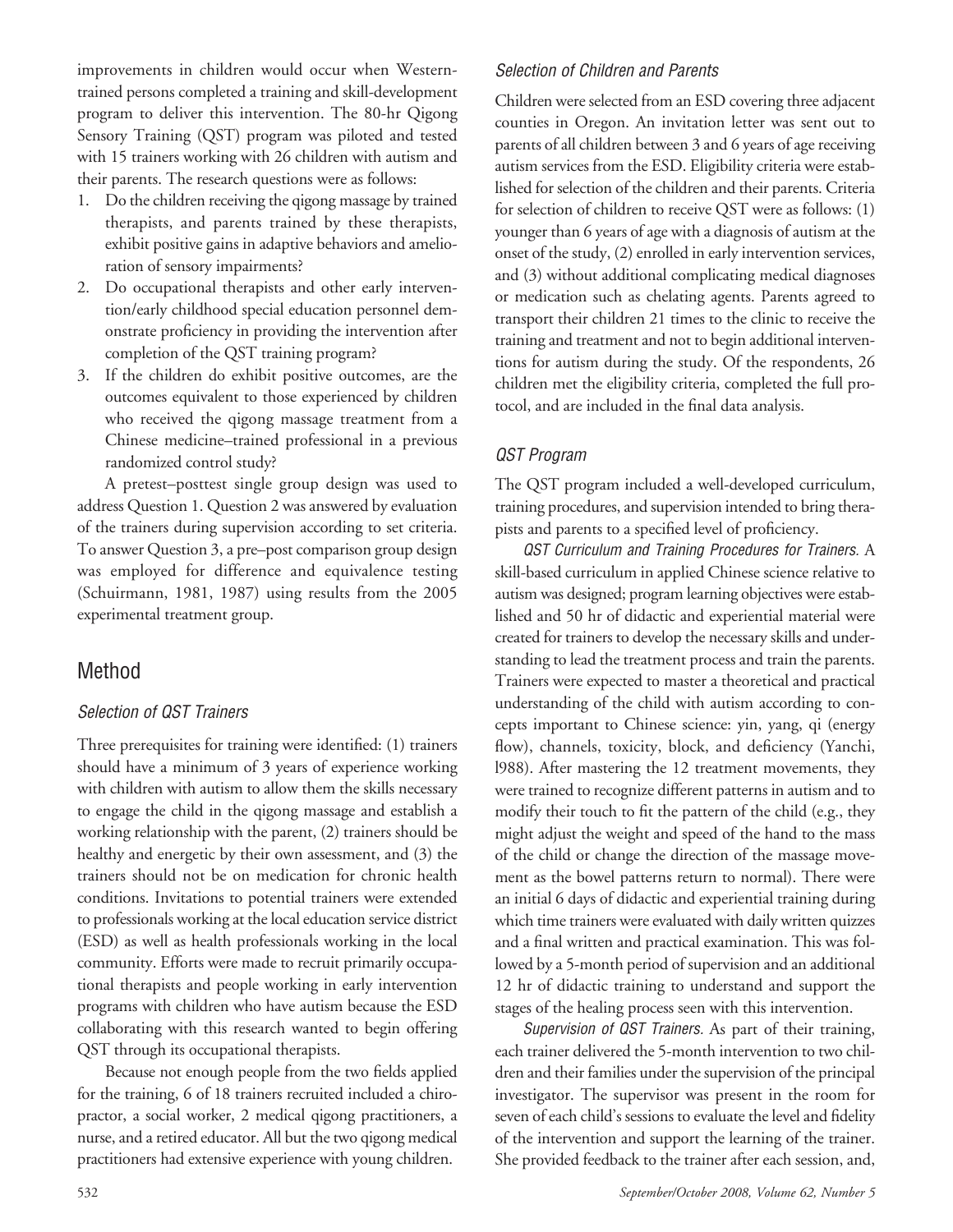improvements in children would occur when Westerntrained persons completed a training and skill-development program to deliver this intervention. The 80-hr Qigong Sensory Training (QST) program was piloted and tested with 15 trainers working with 26 children with autism and their parents. The research questions were as follows:

- 1. Do the children receiving the qigong massage by trained therapists, and parents trained by these therapists, exhibit positive gains in adaptive behaviors and amelioration of sensory impairments?
- 2. Do occupational therapists and other early intervention/early childhood special education personnel demonstrate proficiency in providing the intervention after completion of the QST training program?
- 3. If the children do exhibit positive outcomes, are the outcomes equivalent to those experienced by children who received the qigong massage treatment from a Chinese medicine–trained professional in a previous randomized control study?

A pretest–posttest single group design was used to address Question 1. Question 2 was answered by evaluation of the trainers during supervision according to set criteria. To answer Question 3, a pre–post comparison group design was employed for difference and equivalence testing (Schuirmann, 1981, 1987) using results from the 2005 experimental treatment group.

## Method

#### Selection of QST Trainers

Three prerequisites for training were identified: (1) trainers should have a minimum of 3 years of experience working with children with autism to allow them the skills necessary to engage the child in the qigong massage and establish a working relationship with the parent, (2) trainers should be healthy and energetic by their own assessment, and (3) the trainers should not be on medication for chronic health conditions. Invitations to potential trainers were extended to professionals working at the local education service district (ESD) as well as health professionals working in the local community. Efforts were made to recruit primarily occupational therapists and people working in early intervention programs with children who have autism because the ESD collaborating with this research wanted to begin offering QST through its occupational therapists.

Because not enough people from the two fields applied for the training, 6 of 18 trainers recruited included a chiropractor, a social worker, 2 medical qigong practitioners, a nurse, and a retired educator. All but the two qigong medical practitioners had extensive experience with young children.

## Selection of Children and Parents

Children were selected from an ESD covering three adjacent counties in Oregon. An invitation letter was sent out to parents of all children between 3 and 6 years of age receiving autism services from the ESD. Eligibility criteria were established for selection of the children and their parents. Criteria for selection of children to receive QST were as follows: (1) younger than 6 years of age with a diagnosis of autism at the onset of the study, (2) enrolled in early intervention services, and (3) without additional complicating medical diagnoses or medication such as chelating agents. Parents agreed to transport their children 21 times to the clinic to receive the training and treatment and not to begin additional interventions for autism during the study. Of the respondents, 26 children met the eligibility criteria, completed the full protocol, and are included in the final data analysis.

## QST Program

The QST program included a well-developed curriculum, training procedures, and supervision intended to bring therapists and parents to a specified level of proficiency.

QST Curriculum and Training Procedures for Trainers. A skill-based curriculum in applied Chinese science relative to autism was designed; program learning objectives were established and 50 hr of didactic and experiential material were created for trainers to develop the necessary skills and understanding to lead the treatment process and train the parents. Trainers were expected to master a theoretical and practical understanding of the child with autism according to concepts important to Chinese science: yin, yang, qi (energy flow), channels, toxicity, block, and deficiency (Yanchi, l988). After mastering the 12 treatment movements, they were trained to recognize different patterns in autism and to modify their touch to fit the pattern of the child (e.g., they might adjust the weight and speed of the hand to the mass of the child or change the direction of the massage movement as the bowel patterns return to normal). There were an initial 6 days of didactic and experiential training during which time trainers were evaluated with daily written quizzes and a final written and practical examination. This was followed by a 5-month period of supervision and an additional 12 hr of didactic training to understand and support the stages of the healing process seen with this intervention.

Supervision of QST Trainers. As part of their training, each trainer delivered the 5-month intervention to two children and their families under the supervision of the principal investigator. The supervisor was present in the room for seven of each child's sessions to evaluate the level and fidelity of the intervention and support the learning of the trainer. She provided feedback to the trainer after each session, and,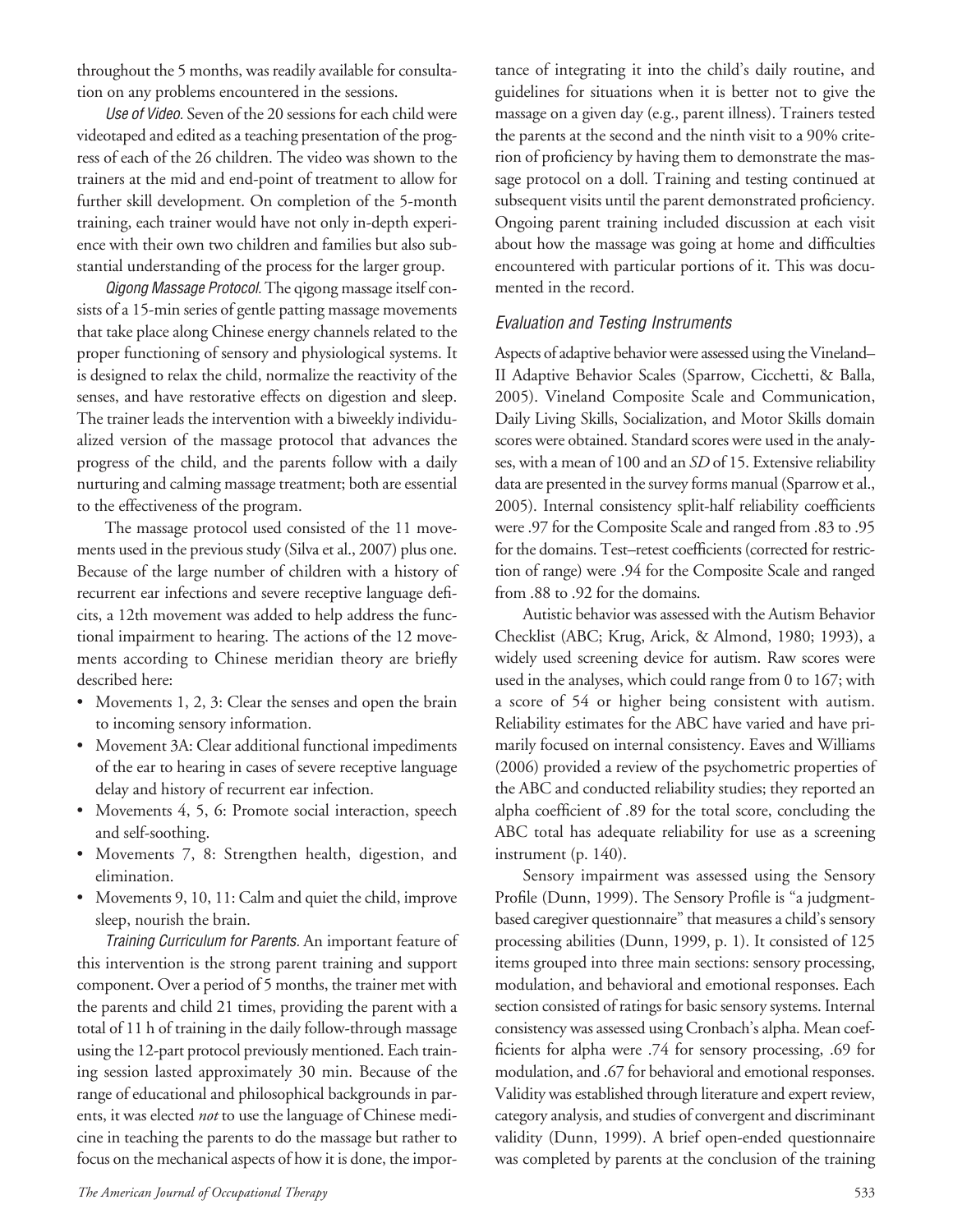throughout the 5 months, was readily available for consultation on any problems encountered in the sessions.

Use of Video. Seven of the 20 sessions for each child were videotaped and edited as a teaching presentation of the progress of each of the 26 children. The video was shown to the trainers at the mid and end-point of treatment to allow for further skill development. On completion of the 5-month training, each trainer would have not only in-depth experience with their own two children and families but also substantial understanding of the process for the larger group.

Qigong Massage Protocol. The qigong massage itself consists of a 15-min series of gentle patting massage movements that take place along Chinese energy channels related to the proper functioning of sensory and physiological systems. It is designed to relax the child, normalize the reactivity of the senses, and have restorative effects on digestion and sleep. The trainer leads the intervention with a biweekly individualized version of the massage protocol that advances the progress of the child, and the parents follow with a daily nurturing and calming massage treatment; both are essential to the effectiveness of the program.

The massage protocol used consisted of the 11 movements used in the previous study (Silva et al., 2007) plus one. Because of the large number of children with a history of recurrent ear infections and severe receptive language deficits, a 12th movement was added to help address the functional impairment to hearing. The actions of the 12 movements according to Chinese meridian theory are briefly described here:

- Movements 1, 2, 3: Clear the senses and open the brain to incoming sensory information.
- Movement 3A: Clear additional functional impediments of the ear to hearing in cases of severe receptive language delay and history of recurrent ear infection.
- Movements 4, 5, 6: Promote social interaction, speech and self-soothing.
- Movements 7, 8: Strengthen health, digestion, and elimination.
- Movements 9, 10, 11: Calm and quiet the child, improve sleep, nourish the brain.

Training Curriculum for Parents. An important feature of this intervention is the strong parent training and support component. Over a period of 5 months, the trainer met with the parents and child 21 times, providing the parent with a total of 11 h of training in the daily follow-through massage using the 12-part protocol previously mentioned. Each training session lasted approximately 30 min. Because of the range of educational and philosophical backgrounds in parents, it was elected *not* to use the language of Chinese medicine in teaching the parents to do the massage but rather to focus on the mechanical aspects of how it is done, the importance of integrating it into the child's daily routine, and guidelines for situations when it is better not to give the massage on a given day (e.g., parent illness). Trainers tested the parents at the second and the ninth visit to a 90% criterion of proficiency by having them to demonstrate the massage protocol on a doll. Training and testing continued at subsequent visits until the parent demonstrated proficiency. Ongoing parent training included discussion at each visit about how the massage was going at home and difficulties encountered with particular portions of it. This was documented in the record.

## Evaluation and Testing Instruments

Aspects of adaptive behavior were assessed using the Vineland– II Adaptive Behavior Scales (Sparrow, Cicchetti, & Balla, 2005). Vineland Composite Scale and Communication, Daily Living Skills, Socialization, and Motor Skills domain scores were obtained. Standard scores were used in the analyses, with a mean of 100 and an *SD* of 15. Extensive reliability data are presented in the survey forms manual (Sparrow et al., 2005). Internal consistency split-half reliability coefficients were.97 for the Composite Scale and ranged from .83 to .95 for the domains. Test–retest coefficients (corrected for restriction of range) were .94 for the Composite Scale and ranged from .88 to .92 for the domains.

Autistic behavior was assessed with the Autism Behavior Checklist (ABC; Krug, Arick, & Almond, 1980; 1993), a widely used screening device for autism. Raw scores were used in the analyses, which could range from 0 to 167; with a score of 54 or higher being consistent with autism. Reliability estimates for the ABC have varied and have primarily focused on internal consistency. Eaves and Williams (2006) provided a review of the psychometric properties of the ABC and conducted reliability studies; they reported an alpha coefficient of .89 for the total score, concluding the ABC total has adequate reliability for use as a screening instrument (p. 140).

Sensory impairment was assessed using the Sensory Profile (Dunn, 1999). The Sensory Profile is "a judgmentbased caregiver questionnaire" that measures a child's sensory processing abilities (Dunn, 1999, p. 1). It consisted of 125 items grouped into three main sections: sensory processing, modulation, and behavioral and emotional responses. Each section consisted of ratings for basic sensory systems. Internal consistency was assessed using Cronbach's alpha. Mean coefficients for alpha were .74 for sensory processing, .69 for modulation, and .67 for behavioral and emotional responses. Validity was established through literature and expert review, category analysis, and studies of convergent and discriminant validity (Dunn, 1999). A brief open-ended questionnaire was completed by parents at the conclusion of the training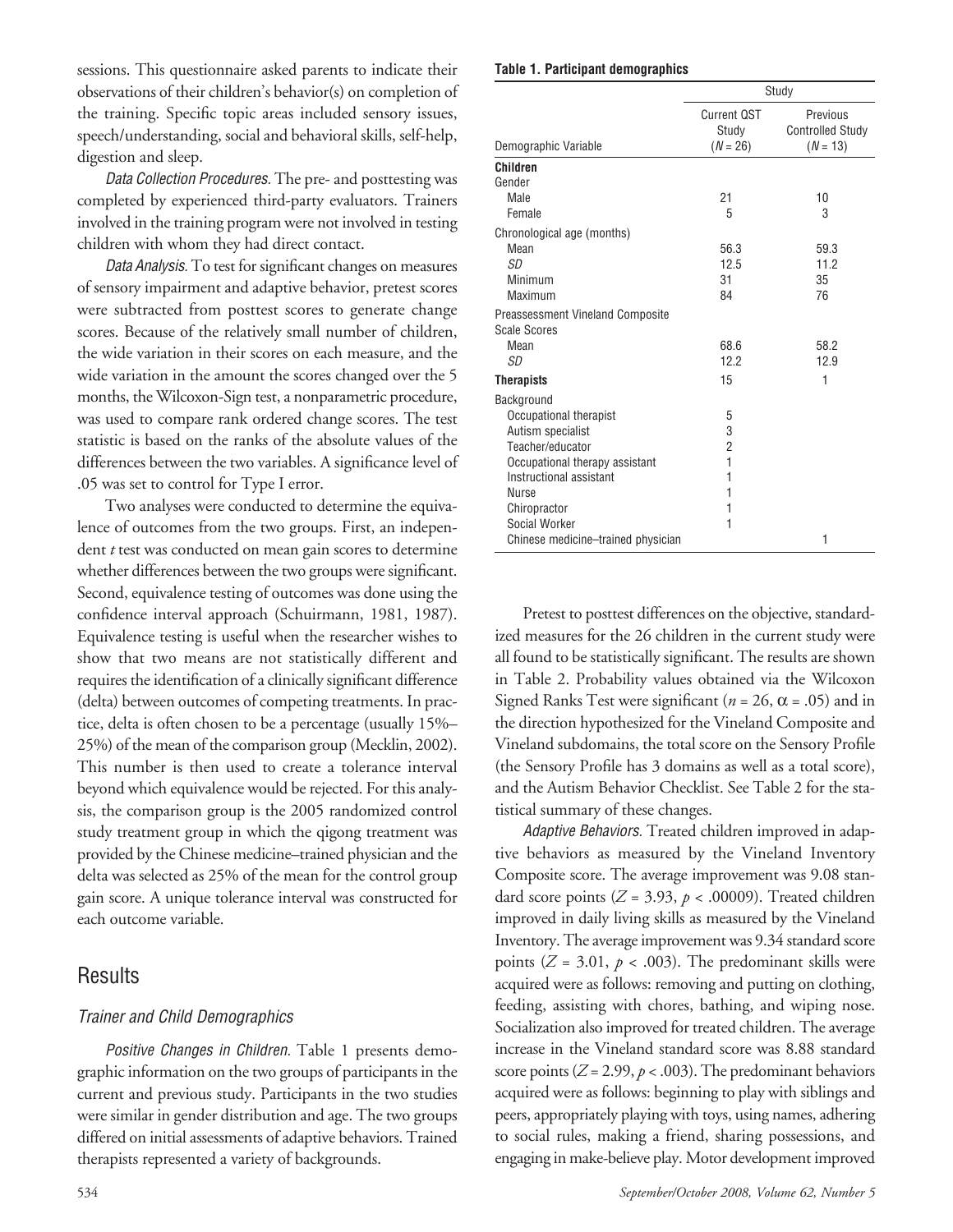sessions. This questionnaire asked parents to indicate their observations of their children's behavior(s) on completion of the training. Specific topic areas included sensory issues, speech/understanding, social and behavioral skills, self-help, digestion and sleep.

Data Collection Procedures. The pre- and posttesting was completed by experienced third-party evaluators. Trainers involved in the training program were not involved in testing children with whom they had direct contact.

Data Analysis. To test for significant changes on measures of sensory impairment and adaptive behavior, pretest scores were subtracted from posttest scores to generate change scores. Because of the relatively small number of children, the wide variation in their scores on each measure, and the wide variation in the amount the scores changed over the 5 months, the Wilcoxon-Sign test, a nonparametric procedure, was used to compare rank ordered change scores. The test statistic is based on the ranks of the absolute values of the differences between the two variables. A significance level of .05 was set to control for Type I error.

Two analyses were conducted to determine the equivalence of outcomes from the two groups. First, an independent *t* test was conducted on mean gain scores to determine whether differences between the two groups were significant. Second, equivalence testing of outcomes was done using the confidence interval approach (Schuirmann, 1981, 1987). Equivalence testing is useful when the researcher wishes to show that two means are not statistically different and requires the identification of a clinically significant difference (delta) between outcomes of competing treatments. In practice, delta is often chosen to be a percentage (usually 15%– 25%) of the mean of the comparison group (Mecklin, 2002). This number is then used to create a tolerance interval beyond which equivalence would be rejected. For this analysis, the comparison group is the 2005 randomized control study treatment group in which the qigong treatment was provided by the Chinese medicine–trained physician and the delta was selected as 25% of the mean for the control group gain score. A unique tolerance interval was constructed for each outcome variable.

## **Results**

#### Trainer and Child Demographics

Positive Changes in Children. Table 1 presents demographic information on the two groups of participants in the current and previous study. Participants in the two studies were similar in gender distribution and age. The two groups differed on initial assessments of adaptive behaviors. Trained therapists represented a variety of backgrounds.

#### **Table 1. Participant demographics**

|                                    | Study                                     |                                                   |  |  |  |
|------------------------------------|-------------------------------------------|---------------------------------------------------|--|--|--|
| Demographic Variable               | <b>Current QST</b><br>Study<br>$(N = 26)$ | Previous<br><b>Controlled Study</b><br>$(N = 13)$ |  |  |  |
| <b>Children</b>                    |                                           |                                                   |  |  |  |
| Gender                             |                                           |                                                   |  |  |  |
| Male                               | 21                                        | 10                                                |  |  |  |
| Female                             | 5                                         | 3                                                 |  |  |  |
| Chronological age (months)         |                                           |                                                   |  |  |  |
| Mean                               | 56.3                                      | 59.3                                              |  |  |  |
| SD                                 | 12.5                                      | 11.2                                              |  |  |  |
| Minimum                            | 31                                        | 35                                                |  |  |  |
| Maximum                            | 84                                        | 76                                                |  |  |  |
| Preassessment Vineland Composite   |                                           |                                                   |  |  |  |
| Scale Scores                       |                                           |                                                   |  |  |  |
| Mean                               | 68.6                                      | 58.2                                              |  |  |  |
| SD                                 | 12.2                                      | 12.9                                              |  |  |  |
| <b>Therapists</b>                  | 15                                        | 1                                                 |  |  |  |
| Background                         |                                           |                                                   |  |  |  |
| Occupational therapist             | 5                                         |                                                   |  |  |  |
| Autism specialist                  | 3                                         |                                                   |  |  |  |
| Teacher/educator                   | $\overline{2}$                            |                                                   |  |  |  |
| Occupational therapy assistant     | 1                                         |                                                   |  |  |  |
| Instructional assistant            | 1                                         |                                                   |  |  |  |
| <b>Nurse</b>                       | 1                                         |                                                   |  |  |  |
| Chiropractor                       | 1                                         |                                                   |  |  |  |
| Social Worker                      | 1                                         |                                                   |  |  |  |
| Chinese medicine-trained physician |                                           | 1                                                 |  |  |  |

Pretest to posttest differences on the objective, standardized measures for the 26 children in the current study were all found to be statistically significant. The results are shown in Table 2. Probability values obtained via the Wilcoxon Signed Ranks Test were significant ( $n = 26$ ,  $\alpha = .05$ ) and in the direction hypothesized for the Vineland Composite and Vineland subdomains, the total score on the Sensory Profile (the Sensory Profile has 3 domains as well as a total score), and the Autism Behavior Checklist. See Table 2 for the statistical summary of these changes.

Adaptive Behaviors. Treated children improved in adaptive behaviors as measured by the Vineland Inventory Composite score. The average improvement was 9.08 standard score points ( $Z = 3.93$ ,  $p < .00009$ ). Treated children improved in daily living skills as measured by the Vineland Inventory. The average improvement was 9.34 standard score points ( $Z = 3.01$ ,  $p < .003$ ). The predominant skills were acquired were as follows: removing and putting on clothing, feeding, assisting with chores, bathing, and wiping nose. Socialization also improved for treated children. The average increase in the Vineland standard score was 8.88 standard score points ( $Z = 2.99$ ,  $p < .003$ ). The predominant behaviors acquired were as follows: beginning to play with siblings and peers, appropriately playing with toys, using names, adhering to social rules, making a friend, sharing possessions, and engaging in make-believe play. Motor development improved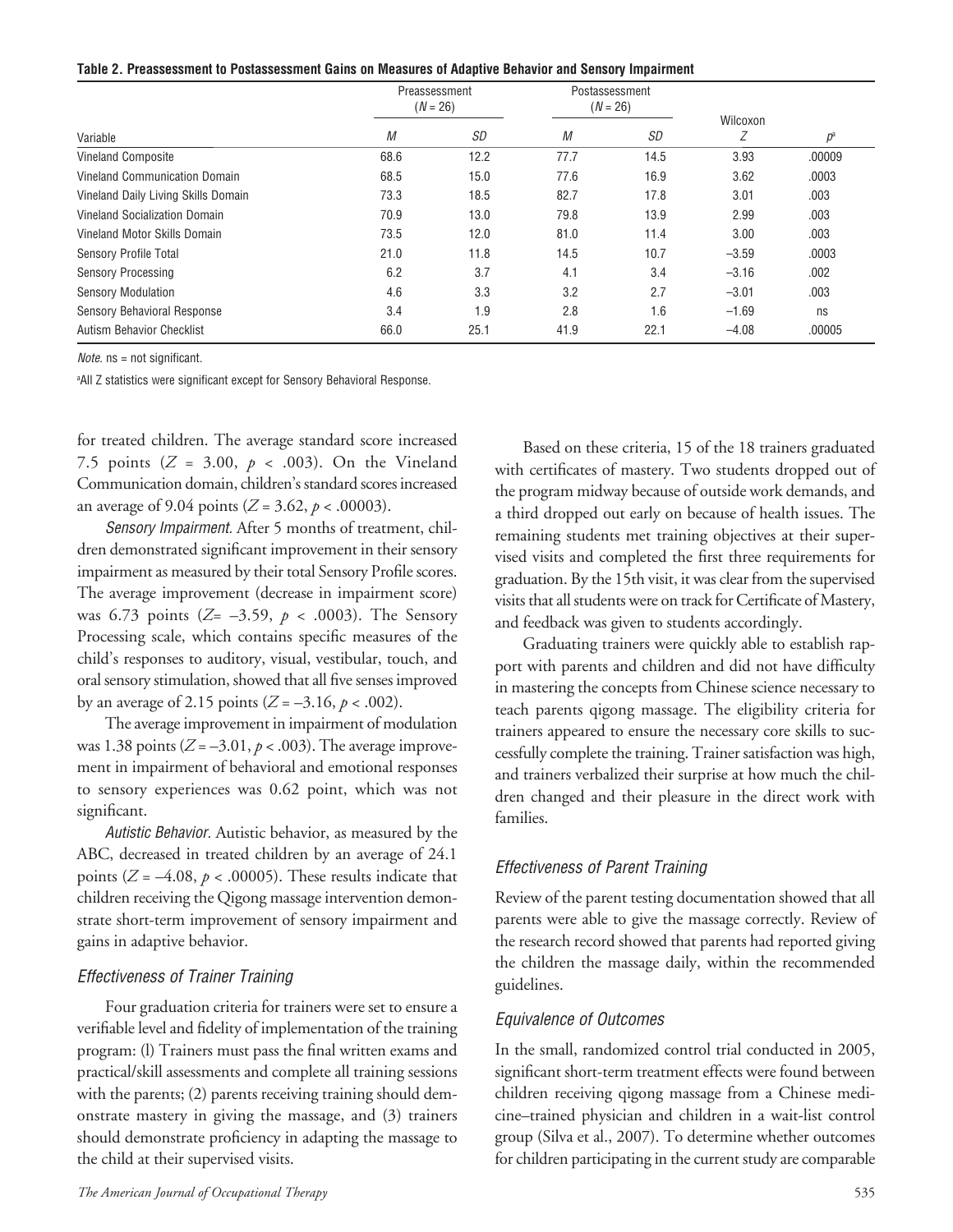| Table 2. Preassessment to Postassessment Gains on Measures of Adaptive Behavior and Sensory Impairment |  |  |  |  |
|--------------------------------------------------------------------------------------------------------|--|--|--|--|
|                                                                                                        |  |  |  |  |

|                                     | Preassessment<br>$(N = 26)$ |      |      | Postassessment<br>$(N = 26)$ |               |        |
|-------------------------------------|-----------------------------|------|------|------------------------------|---------------|--------|
| Variable                            | М                           | SD   | М    | SD                           | Wilcoxon<br>Ζ | $p^a$  |
| <b>Vineland Composite</b>           | 68.6                        | 12.2 | 77.7 | 14.5                         | 3.93          | .00009 |
| Vineland Communication Domain       | 68.5                        | 15.0 | 77.6 | 16.9                         | 3.62          | .0003  |
| Vineland Daily Living Skills Domain | 73.3                        | 18.5 | 82.7 | 17.8                         | 3.01          | .003   |
| Vineland Socialization Domain       | 70.9                        | 13.0 | 79.8 | 13.9                         | 2.99          | .003   |
| Vineland Motor Skills Domain        | 73.5                        | 12.0 | 81.0 | 11.4                         | 3.00          | .003   |
| Sensory Profile Total               | 21.0                        | 11.8 | 14.5 | 10.7                         | $-3.59$       | .0003  |
| <b>Sensory Processing</b>           | 6.2                         | 3.7  | 4.1  | 3.4                          | $-3.16$       | .002   |
| <b>Sensory Modulation</b>           | 4.6                         | 3.3  | 3.2  | 2.7                          | $-3.01$       | .003   |
| Sensory Behavioral Response         | 3.4                         | 1.9  | 2.8  | 1.6                          | $-1.69$       | ns     |
| <b>Autism Behavior Checklist</b>    | 66.0                        | 25.1 | 41.9 | 22.1                         | $-4.08$       | .00005 |

Note. ns = not significant.

a All Z statistics were significant except for Sensory Behavioral Response.

for treated children. The average standard score increased 7.5 points  $(Z = 3.00, p < .003)$ . On the Vineland Communication domain, children's standard scores increased an average of 9.04 points ( $Z = 3.62$ ,  $p < .00003$ ).

Sensory Impairment. After 5 months of treatment, children demonstrated significant improvement in their sensory impairment as measured by their total Sensory Profile scores. The average improvement (decrease in impairment score) was 6.73 points (*Z*= –3.59, *p* < .0003). The Sensory Processing scale, which contains specific measures of the child's responses to auditory, visual, vestibular, touch, and oral sensory stimulation, showed that all five senses improved by an average of 2.15 points ( $Z = -3.16$ ,  $p < .002$ ).

The average improvement in impairment of modulation was 1.38 points  $(Z = -3.01, p < .003)$ . The average improvement in impairment of behavioral and emotional responses to sensory experiences was 0.62 point, which was not significant.

Autistic Behavior. Autistic behavior, as measured by the ABC, decreased in treated children by an average of 24.1 points ( $Z = -4.08$ ,  $p < .00005$ ). These results indicate that children receiving the Qigong massage intervention demonstrate short-term improvement of sensory impairment and gains in adaptive behavior.

#### Effectiveness of Trainer Training

Four graduation criteria for trainers were set to ensure a verifiable level and fidelity of implementation of the training program: (l) Trainers must pass the final written exams and practical/skill assessments and complete all training sessions with the parents; (2) parents receiving training should demonstrate mastery in giving the massage, and (3) trainers should demonstrate proficiency in adapting the massage to the child at their supervised visits.

Based on these criteria, 15 of the 18 trainers graduated with certificates of mastery. Two students dropped out of the program midway because of outside work demands, and a third dropped out early on because of health issues. The remaining students met training objectives at their supervised visits and completed the first three requirements for graduation. By the 15th visit, it was clear from the supervised visits that all students were on track for Certificate of Mastery, and feedback was given to students accordingly.

Graduating trainers were quickly able to establish rapport with parents and children and did not have difficulty in mastering the concepts from Chinese science necessary to teach parents qigong massage. The eligibility criteria for trainers appeared to ensure the necessary core skills to successfully complete the training. Trainer satisfaction was high, and trainers verbalized their surprise at how much the children changed and their pleasure in the direct work with families.

#### Effectiveness of Parent Training

Review of the parent testing documentation showed that all parents were able to give the massage correctly. Review of the research record showed that parents had reported giving the children the massage daily, within the recommended guidelines.

#### Equivalence of Outcomes

In the small, randomized control trial conducted in 2005, significant short-term treatment effects were found between children receiving qigong massage from a Chinese medicine–trained physician and children in a wait-list control group (Silva et al., 2007). To determine whether outcomes for children participating in the current study are comparable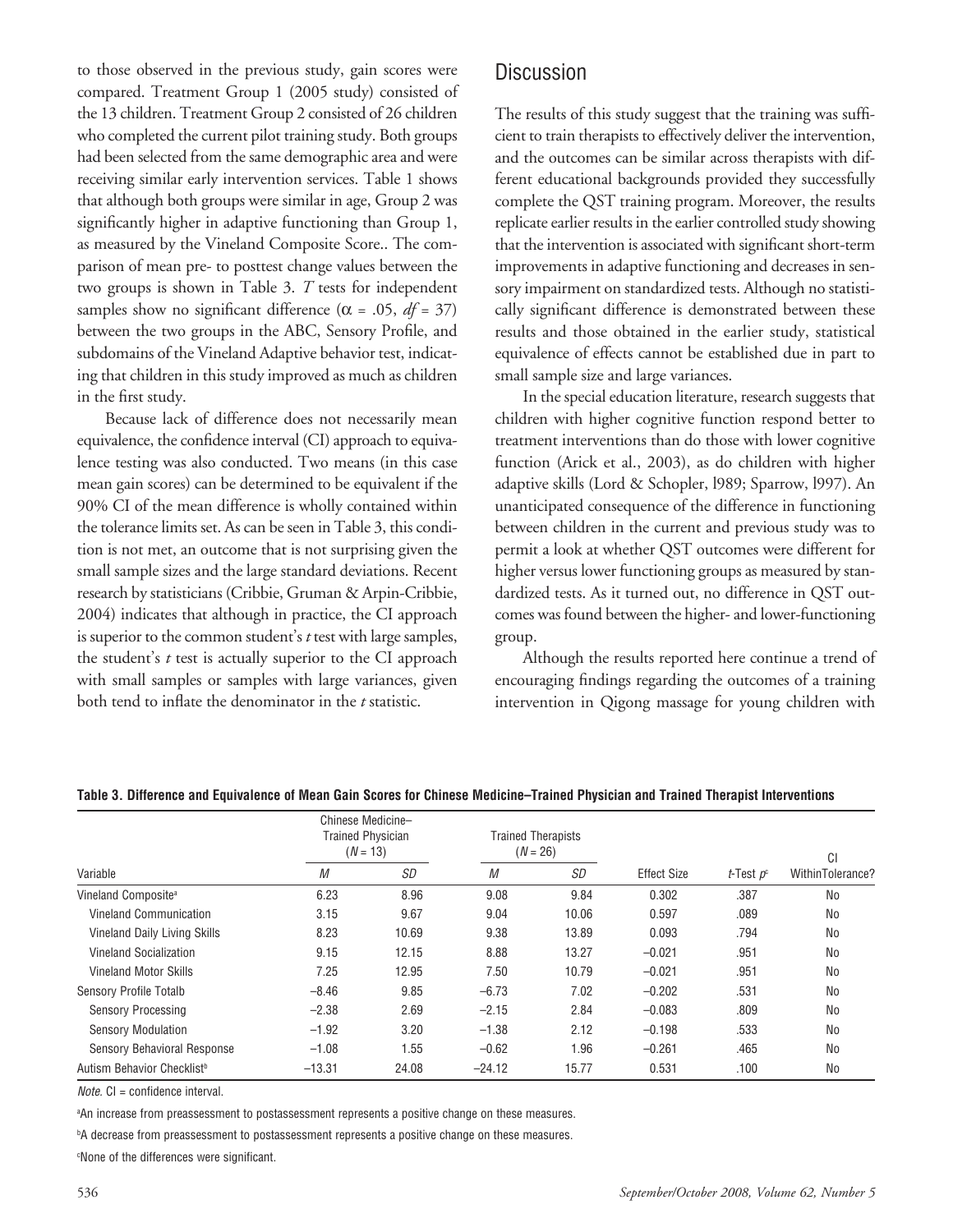to those observed in the previous study, gain scores were compared. Treatment Group 1 (2005 study) consisted of the 13 children. Treatment Group 2 consisted of 26 children who completed the current pilot training study. Both groups had been selected from the same demographic area and were receiving similar early intervention services. Table 1 shows that although both groups were similar in age, Group 2 was significantly higher in adaptive functioning than Group 1, as measured by the Vineland Composite Score.. The comparison of mean pre- to posttest change values between the two groups is shown in Table 3. *T* tests for independent samples show no significant difference ( $\alpha$  = .05, *df* = 37) between the two groups in the ABC, Sensory Profile, and subdomains of the Vineland Adaptive behavior test, indicating that children in this study improved as much as children in the first study.

Because lack of difference does not necessarily mean equivalence, the confidence interval (CI) approach to equivalence testing was also conducted. Two means (in this case mean gain scores) can be determined to be equivalent if the 90% CI of the mean difference is wholly contained within the tolerance limits set. As can be seen in Table 3, this condition is not met, an outcome that is not surprising given the small sample sizes and the large standard deviations. Recent research by statisticians (Cribbie, Gruman & Arpin-Cribbie, 2004) indicates that although in practice, the CI approach is superior to the common student's *t* test with large samples, the student's *t* test is actually superior to the CI approach with small samples or samples with large variances, given both tend to inflate the denominator in the *t* statistic.

## **Discussion**

The results of this study suggest that the training was sufficient to train therapists to effectively deliver the intervention, and the outcomes can be similar across therapists with different educational backgrounds provided they successfully complete the QST training program. Moreover, the results replicate earlier results in the earlier controlled study showing that the intervention is associated with significant short-term improvements in adaptive functioning and decreases in sensory impairment on standardized tests. Although no statistically significant difference is demonstrated between these results and those obtained in the earlier study, statistical equivalence of effects cannot be established due in part to small sample size and large variances.

In the special education literature, research suggests that children with higher cognitive function respond better to treatment interventions than do those with lower cognitive function (Arick et al., 2003), as do children with higher adaptive skills (Lord & Schopler, l989; Sparrow, l997). An unanticipated consequence of the difference in functioning between children in the current and previous study was to permit a look at whether QST outcomes were different for higher versus lower functioning groups as measured by standardized tests. As it turned out, no difference in QST outcomes was found between the higher- and lower-functioning group.

Although the results reported here continue a trend of encouraging findings regarding the outcomes of a training intervention in Qigong massage for young children with

| Variable                               | Chinese Medicine-<br><b>Trained Physician</b><br>$(N = 13)$ |       | <b>Trained Therapists</b><br>$(N = 26)$ |       |                    |                      | CI               |
|----------------------------------------|-------------------------------------------------------------|-------|-----------------------------------------|-------|--------------------|----------------------|------------------|
|                                        | М                                                           | SD    | М                                       | SD    | <b>Effect Size</b> | <i>t</i> -Test $p^c$ | WithinTolerance? |
| Vineland Composite <sup>a</sup>        | 6.23                                                        | 8.96  | 9.08                                    | 9.84  | 0.302              | .387                 | No               |
| Vineland Communication                 | 3.15                                                        | 9.67  | 9.04                                    | 10.06 | 0.597              | .089                 | No               |
| Vineland Daily Living Skills           | 8.23                                                        | 10.69 | 9.38                                    | 13.89 | 0.093              | .794                 | No               |
| Vineland Socialization                 | 9.15                                                        | 12.15 | 8.88                                    | 13.27 | $-0.021$           | .951                 | <b>No</b>        |
| <b>Vineland Motor Skills</b>           | 7.25                                                        | 12.95 | 7.50                                    | 10.79 | $-0.021$           | .951                 | No               |
| <b>Sensory Profile Totalb</b>          | $-8.46$                                                     | 9.85  | $-6.73$                                 | 7.02  | $-0.202$           | .531                 | No               |
| <b>Sensory Processing</b>              | $-2.38$                                                     | 2.69  | $-2.15$                                 | 2.84  | $-0.083$           | .809                 | No               |
| <b>Sensory Modulation</b>              | $-1.92$                                                     | 3.20  | $-1.38$                                 | 2.12  | $-0.198$           | .533                 | No               |
| <b>Sensory Behavioral Response</b>     | $-1.08$                                                     | 1.55  | $-0.62$                                 | 1.96  | $-0.261$           | .465                 | No               |
| Autism Behavior Checklist <sup>b</sup> | $-13.31$                                                    | 24.08 | $-24.12$                                | 15.77 | 0.531              | .100                 | No               |

#### Table 3. Difference and Equivalence of Mean Gain Scores for Chinese Medicine-Trained Physician and Trained Therapist Interventions

Note. CI = confidence interval.

a An increase from preassessment to postassessment represents a positive change on these measures.

b A decrease from preassessment to postassessment represents a positive change on these measures.

c None of the differences were significant.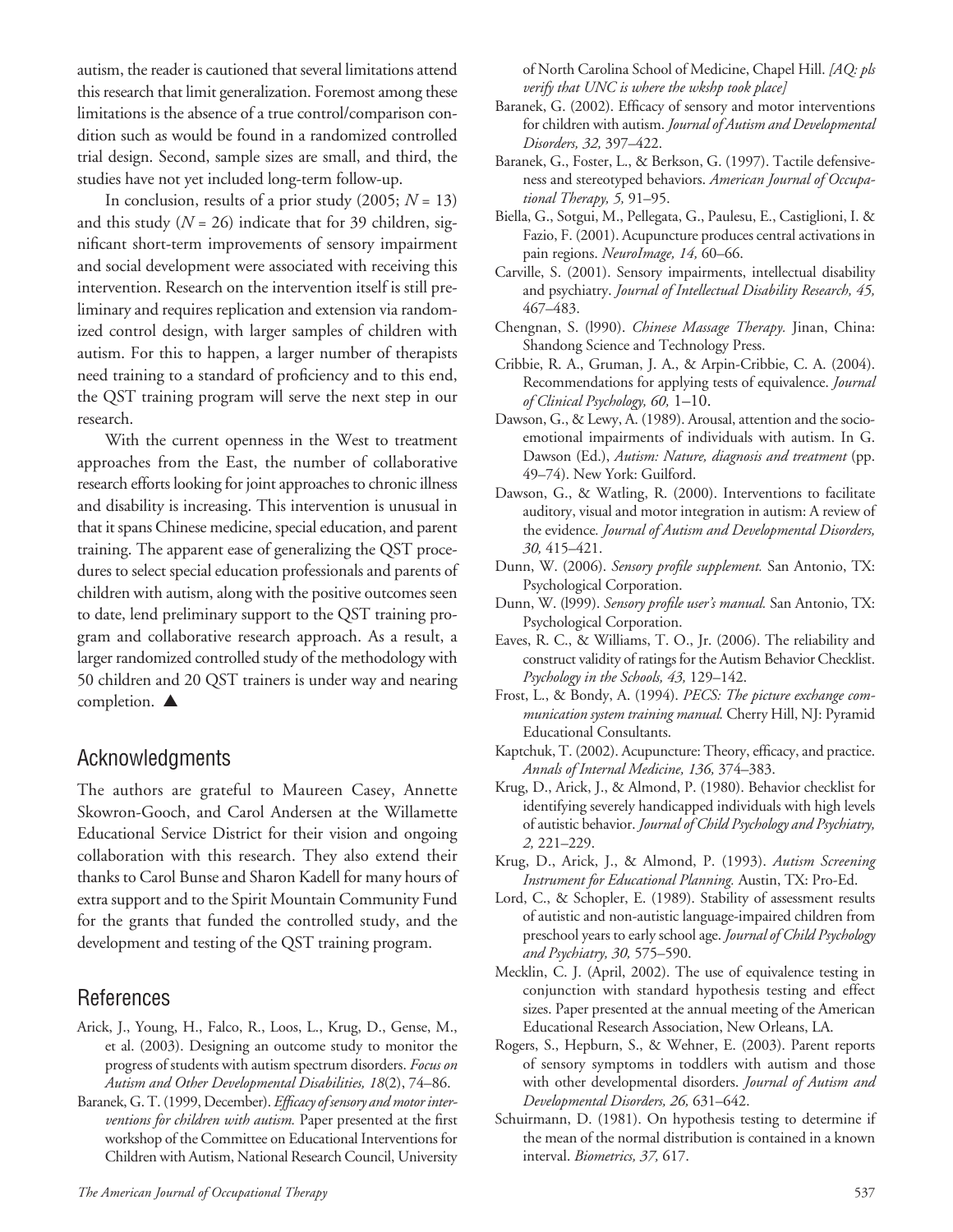autism, the reader is cautioned that several limitations attend this research that limit generalization. Foremost among these limitations is the absence of a true control/comparison condition such as would be found in a randomized controlled trial design. Second, sample sizes are small, and third, the studies have not yet included long-term follow-up.

In conclusion, results of a prior study  $(2005; N = 13)$ and this study  $(N = 26)$  indicate that for 39 children, significant short-term improvements of sensory impairment and social development were associated with receiving this intervention. Research on the intervention itself is still preliminary and requires replication and extension via randomized control design, with larger samples of children with autism. For this to happen, a larger number of therapists need training to a standard of proficiency and to this end, the QST training program will serve the next step in our research.

With the current openness in the West to treatment approaches from the East, the number of collaborative research efforts looking for joint approaches to chronic illness and disability is increasing. This intervention is unusual in that it spans Chinese medicine, special education, and parent training. The apparent ease of generalizing the QST procedures to select special education professionals and parents of children with autism, along with the positive outcomes seen to date, lend preliminary support to the QST training program and collaborative research approach. As a result, a larger randomized controlled study of the methodology with 50 children and 20 QST trainers is under way and nearing completion. **▲** 

## Acknowledgments

The authors are grateful to Maureen Casey, Annette Skowron-Gooch, and Carol Andersen at the Willamette Educational Service District for their vision and ongoing collaboration with this research. They also extend their thanks to Carol Bunse and Sharon Kadell for many hours of extra support and to the Spirit Mountain Community Fund for the grants that funded the controlled study, and the development and testing of the QST training program.

## References

- Arick, J., Young, H., Falco, R., Loos, L., Krug, D., Gense, M., et al. (2003). Designing an outcome study to monitor the progress of students with autism spectrum disorders. *Focus on Autism and Other Developmental Disabilities, 18*(2), 74–86.
- Baranek, G. T. (1999, December). *Efficacy of sensory and motor interventions for children with autism.* Paper presented at the first workshop of the Committee on Educational Interventions for Children with Autism, National Research Council, University

of North Carolina School of Medicine, Chapel Hill. *[AQ: pls verify that UNC is where the wkshp took place]*

- Baranek, G. (2002). Efficacy of sensory and motor interventions for children with autism. *Journal of Autism and Developmental Disorders, 32,* 397–422.
- Baranek, G., Foster, L., & Berkson, G. (1997). Tactile defensiveness and stereotyped behaviors. *American Journal of Occupational Therapy, 5,* 91–95.
- Biella, G., Sotgui, M., Pellegata, G., Paulesu, E., Castiglioni, I. & Fazio, F. (2001). Acupuncture produces central activations in pain regions. *NeuroImage, 14,* 60–66.
- Carville, S. (2001). Sensory impairments, intellectual disability and psychiatry. *Journal of Intellectual Disability Research, 45,* 467–483.
- Chengnan, S. (l990). *Chinese Massage Therapy.* Jinan, China: Shandong Science and Technology Press.
- Cribbie, R. A., Gruman, J. A., & Arpin-Cribbie, C. A. (2004). Recommendations for applying tests of equivalence. *Journal of Clinical Psychology, 60,* 1–10.
- Dawson, G., & Lewy, A. (1989). Arousal, attention and the socioemotional impairments of individuals with autism. In G. Dawson (Ed.), *Autism: Nature, diagnosis and treatment* (pp. 49–74). New York: Guilford.
- Dawson, G., & Watling, R. (2000). Interventions to facilitate auditory, visual and motor integration in autism: A review of the evidence*. Journal of Autism and Developmental Disorders, 30,* 415–421.
- Dunn, W. (2006). *Sensory profile supplement.* San Antonio, TX: Psychological Corporation.
- Dunn, W. (l999). *Sensory profile user's manual.* San Antonio, TX: Psychological Corporation.
- Eaves, R. C., & Williams, T. O., Jr. (2006). The reliability and construct validity of ratings for the Autism Behavior Checklist. *Psychology in the Schools, 43,* 129–142.
- Frost, L., & Bondy, A. (1994). *PECS: The picture exchange communication system training manual.* Cherry Hill, NJ: Pyramid Educational Consultants.
- Kaptchuk, T. (2002). Acupuncture: Theory, efficacy, and practice. *Annals of Internal Medicine, 136,* 374–383.
- Krug, D., Arick, J., & Almond, P. (1980). Behavior checklist for identifying severely handicapped individuals with high levels of autistic behavior. *Journal of Child Psychology and Psychiatry, 2,* 221–229.
- Krug, D., Arick, J., & Almond, P. (1993). *Autism Screening Instrument for Educational Planning.* Austin, TX: Pro-Ed.
- Lord, C., & Schopler, E. (1989). Stability of assessment results of autistic and non-autistic language-impaired children from preschool years to early school age. *Journal of Child Psychology and Psychiatry, 30,* 575–590.
- Mecklin, C. J. (April, 2002). The use of equivalence testing in conjunction with standard hypothesis testing and effect sizes. Paper presented at the annual meeting of the American Educational Research Association, New Orleans, LA.
- Rogers, S., Hepburn, S., & Wehner, E. (2003). Parent reports of sensory symptoms in toddlers with autism and those with other developmental disorders. *Journal of Autism and Developmental Disorders, 26,* 631–642.
- Schuirmann, D. (1981). On hypothesis testing to determine if the mean of the normal distribution is contained in a known interval. *Biometrics, 37,* 617.